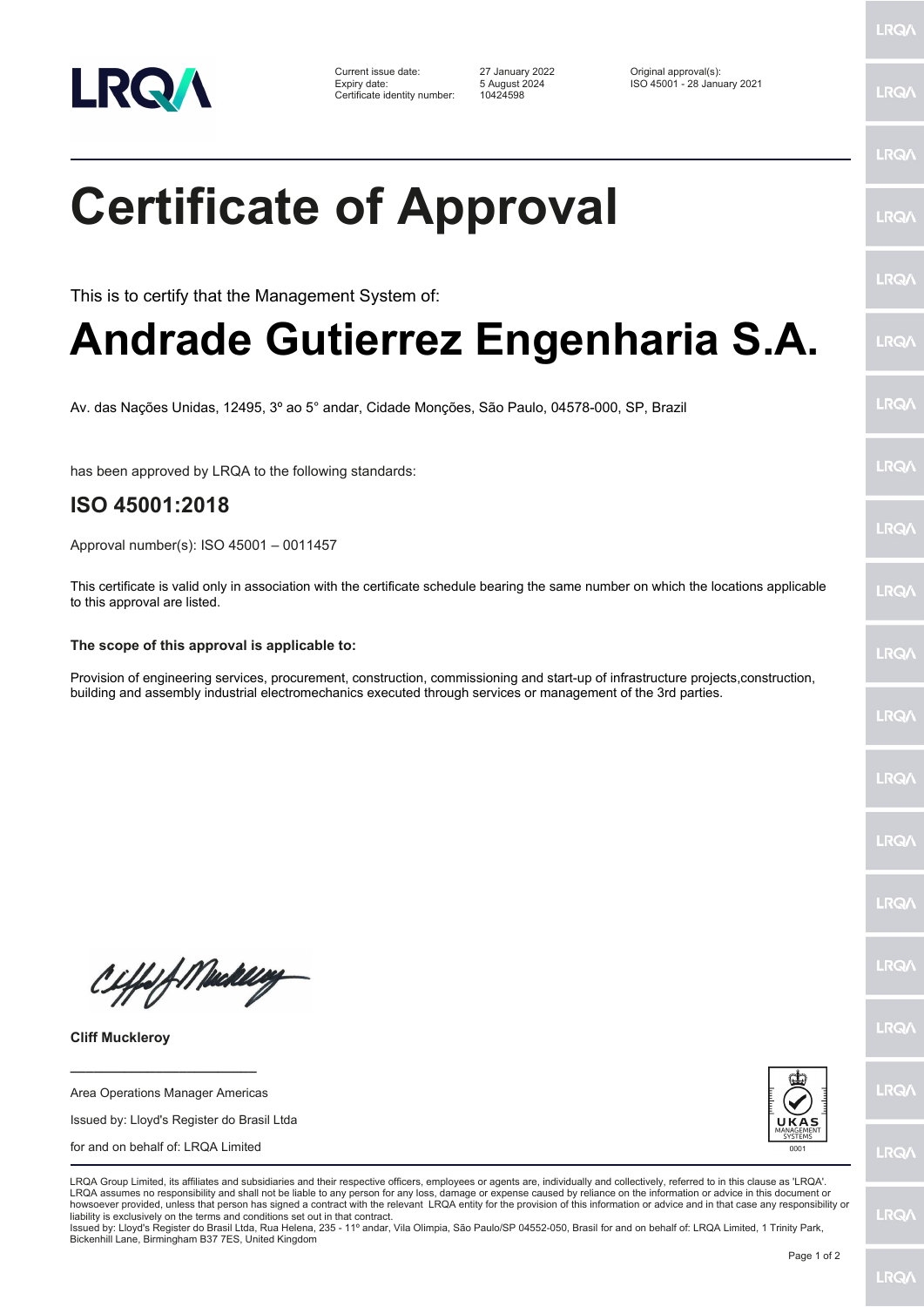

Certificate identity number: 10424598

Current issue date: 27 January 2022 Original approval(s): Expiry date: 5 August 2024 ISO 45001 - 28 January 2021

LRQ/

LRQ/

## LRQ/ **Certificate of Approval** LRQ/ LRQ/ This is to certify that the Management System of: **Andrade Gutierrez Engenharia S.A.** LRQ/ LRQ/ Av. das Nações Unidas, 12495, 3º ao 5° andar, Cidade Monções, São Paulo, 04578-000, SP, Brazil LRQ/ has been approved by LRQA to the following standards: **ISO 45001:2018 LRQA** Approval number(s): ISO 45001 – 0011457 This certificate is valid only in association with the certificate schedule bearing the same number on which the locations applicable **IRQ** to this approval are listed. **The scope of this approval is applicable to:** LRQ/ Provision of engineering services, procurement, construction, commissioning and start-up of infrastructure projects,construction, building and assembly industrial electromechanics executed through services or management of the 3rd parties.LRQ/ LRQ/ LRQ/ **IRQ/** Ciffeft Medal **IRQA** LRQ/ **Cliff Muckleroy \_\_\_\_\_\_\_\_\_\_\_\_\_\_\_\_\_\_\_\_\_\_\_\_** LRQ/ Area Operations Manager Americas Issued by: Lloyd's Register do Brasil Ltda for and on behalf of: LRQA Limited **LRQ/** LRQA Group Limited, its affiliates and subsidiaries and their respective officers, employees or agents are, individually and collectively, referred to in this clause as 'LRQA' LRQA assumes no responsibility and shall not be liable to any person for any loss, damage or expense caused by reliance on the information or advice in this document or howsoever provided, unless that person has signed a contract with the relevant LRQA entity for the provision of this information or advice and in that case any responsibility or LRQ/ liability is exclusively on the terms and conditions set out in that contract. Issued by: Lloyd's Register do Brasil Ltda, Rua Helena, 235 - 11º andar, Vila Olimpia, São Paulo/SP 04552-050, Brasil for and on behalf of: LRQA Limited, 1 Trinity Park, Bickenhill Lane, Birmingham B37 7ES, United Kingdom